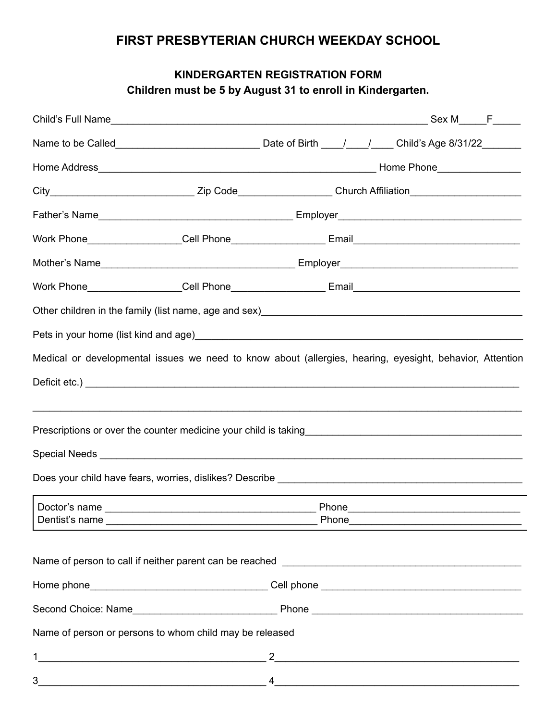## **FIRST PRESBYTERIAN CHURCH WEEKDAY SCHOOL**

## **KINDERGARTEN REGISTRATION FORM Children must be 5 by August 31 to enroll in Kindergarten.**

| City_________________________________Zip Code___________________Church Affiliation________________________                                |                                                                                                                                                                                                                                                                                                                                    |  |  |  |  |
|-------------------------------------------------------------------------------------------------------------------------------------------|------------------------------------------------------------------------------------------------------------------------------------------------------------------------------------------------------------------------------------------------------------------------------------------------------------------------------------|--|--|--|--|
|                                                                                                                                           |                                                                                                                                                                                                                                                                                                                                    |  |  |  |  |
|                                                                                                                                           |                                                                                                                                                                                                                                                                                                                                    |  |  |  |  |
|                                                                                                                                           |                                                                                                                                                                                                                                                                                                                                    |  |  |  |  |
|                                                                                                                                           |                                                                                                                                                                                                                                                                                                                                    |  |  |  |  |
| Other children in the family (list name, age and sex)<br>and sex manager and the manager contract in the family of the family (list name) |                                                                                                                                                                                                                                                                                                                                    |  |  |  |  |
|                                                                                                                                           |                                                                                                                                                                                                                                                                                                                                    |  |  |  |  |
| Medical or developmental issues we need to know about (allergies, hearing, eyesight, behavior, Attention                                  |                                                                                                                                                                                                                                                                                                                                    |  |  |  |  |
|                                                                                                                                           |                                                                                                                                                                                                                                                                                                                                    |  |  |  |  |
|                                                                                                                                           |                                                                                                                                                                                                                                                                                                                                    |  |  |  |  |
|                                                                                                                                           |                                                                                                                                                                                                                                                                                                                                    |  |  |  |  |
|                                                                                                                                           |                                                                                                                                                                                                                                                                                                                                    |  |  |  |  |
|                                                                                                                                           |                                                                                                                                                                                                                                                                                                                                    |  |  |  |  |
|                                                                                                                                           |                                                                                                                                                                                                                                                                                                                                    |  |  |  |  |
|                                                                                                                                           |                                                                                                                                                                                                                                                                                                                                    |  |  |  |  |
| Name of person or persons to whom child may be released                                                                                   |                                                                                                                                                                                                                                                                                                                                    |  |  |  |  |
| 1                                                                                                                                         | <u> 1989 - Johann John Stein, mars an deus Amerikaansk kommunister (</u>                                                                                                                                                                                                                                                           |  |  |  |  |
| 3                                                                                                                                         | $\overline{a}$ , and the contract of the contract of $\overline{a}$ , $\overline{a}$ , $\overline{a}$ , $\overline{a}$ , $\overline{a}$ , $\overline{a}$ , $\overline{a}$ , $\overline{a}$ , $\overline{a}$ , $\overline{a}$ , $\overline{a}$ , $\overline{a}$ , $\overline{a}$ , $\overline{a}$ , $\overline{a}$ , $\overline{a}$ |  |  |  |  |